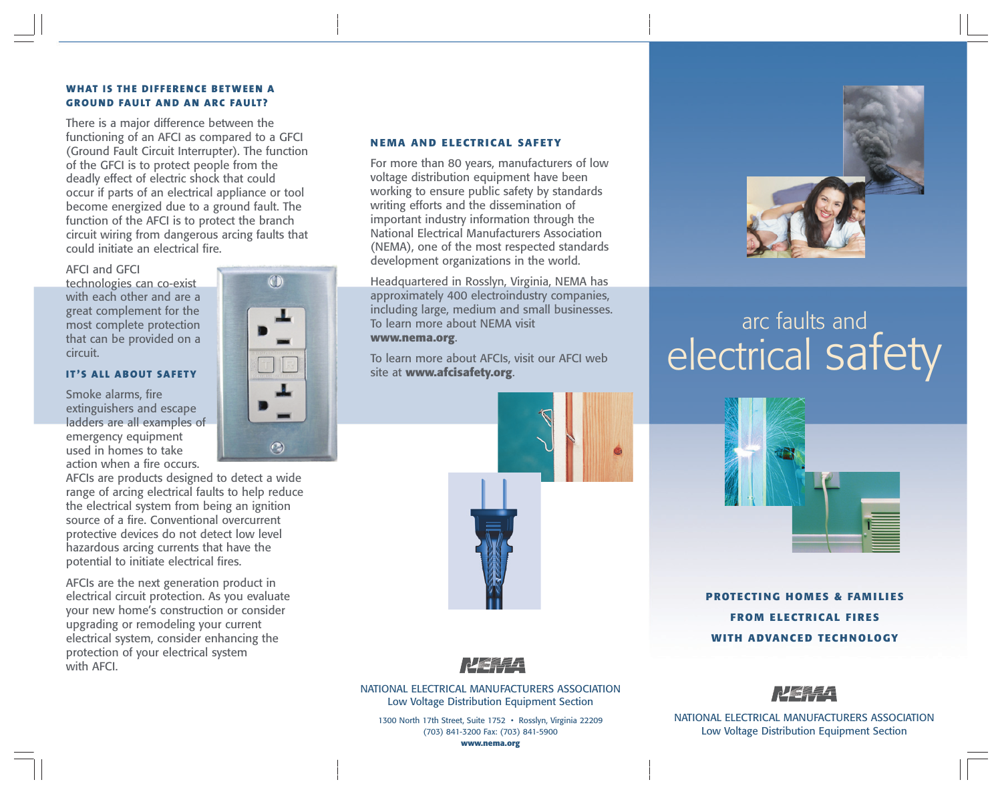# **WHAT IS THE DI F F ERENCE BETWEEN A GROUND FAULT AND AN ARC FAULT?**

There is a major difference between the functioning of an AFCI as compared to a GFCI (Ground Fault Circuit Interrupter). The function of the GFCI is to protect people from the deadly effect of electric shock that could occur if parts of an electrical appliance or tool become energized due to a ground fault. The function of the AFCI is to protect the branch circuit wiring from dangerous arcing faults that could initiate an electrical fire.

#### AFCI and GFCI

technologies can co-exist with each other and are a great complement for the most complete protection that can be provided on a circuit.

#### **IT 'S AL L ABOUT SAFETY**

Smoke alarms, fire extinguishers and escape ladders are all examples of emergency equipment used in homes to take action when a fire occurs.

AFCIs are products designed to detect a wide range of arcing electrical faults to help reduce the electrical system from being an ignition source of a fire. Conventional overcurrent protective devices do not detect low level hazardous arcing currents that have the potential to initiate electrical fires.

AFCIs are the next generation product in electrical circuit protection. As you evaluate your new home's construction or consider upgrading or remodeling your current electrical system, consider enhancing the protection of your electrical system with AFCI.

# **N EMA AN D ELECTRICAL SAFETY**

For more than 80 years, manufacturers of low voltage distribution equipment have been working to ensure public safety by standards writing efforts and the dissemination of important industry information through the National Electrical Manufacturers Association (NEMA), one of the most respected standards development organizations in the world.

Headquartered in Rosslyn, Virginia, NEMA has approximately 400 electroindustry companies, including large, medium and small businesses. To learn more about NEMA visit **www.nema.org**.

To learn more about AFCIs, visit our AFCI web site at **www.afcisafety.org**.





NATIONAL ELECTRICAL MANUFACTURERS ASSOCIATION Low Voltage Distribution Equipment Section

1300 North 17th Street, Suite 1752 • Rosslyn, Virginia 22209 (703) 841-3200 Fax: (703) 841-5900





# arc faults and electrical safety



**PROTECTI NG HOM ES & FAM I LI ES FROM ELECTRICAL F IRES WITH ADVANCED TECH NOLOGY**



NATIONAL ELECTRICAL MANUFACTURERS ASSOCIATION Low Voltage Distribution Equipment Section



 $\odot$